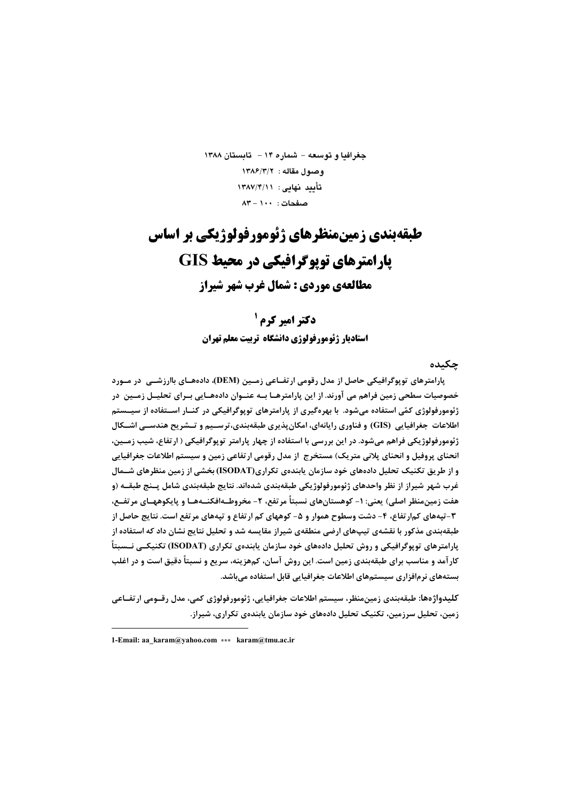جغرافيا و توسعه - شماره ۱۴ - تابستان ۱۳۸۸ وصول مقاله: ١٣٨٤/٣/٢ تأييد نهايى: ١٣٨٧/٣/١١  $\Lambda$ مىفحات: ١٠٠ - ٨٣

طبقهبندي زمينمنظرهاي ژئومورفولوژيکي بر اساس **یارامترهای توپوگرافیکی در محیط GIS** مطالعهي موردي : شمال غرب شهر شيراز

> **دکتر امیر کرم<sup>1</sup>** استادیار ژئومورفولوژی دانشگاه تربیت معلم تهران

> > جكىدە

پارامترهای توپوگرافیکی حاصل از مدل رقومی ارتفــاعی زمــین (DEM)، دادهـــای باارزشــی ٍ در مــورد خصوصیات سطحی زمین فراهم می آورند. از این پارامترهـا بــه عنــوان دادههــایی بــرای تحلیــل زمــین در ژئومورفولوژی کمّی استفاده میشود. با بهرهگیری از پارامترهای توپوگرافیکی در کنــار اســتفاده از سیــستم اطلاعات جغرافیایی (GIS) و فناوری رایانهای، امکان پذیری طبقهبندی،ترسـیم و تــشریح هندسـی اشــکال ژئومورفولوژیکی فراهم میشود. در این بررسی با استفاده از چهار پارامتر توپوگرافیکی ( ارتفاع، شیب زمــین، انحنای پروفیل و انحنای پلانی متریک) مستخرج ًاز مدل رقومی ارتفاعی زمین و سیستم اطلاعات جغرافیایی و از طریق تکنیک تحلیل دادههای خود سازمان یابندهی تکراری(ISODAT) بخشی از زمین منظرهای شــمال غرب شهر شیراز از نظر واحدهای ژئومورفولوژیکی طبقهبندی شدهاند. نتایج طبقهبندی شامل پــنج طبقــه (و هفت زمین،منظر اصلی) یعنی: ۱- کوهستانهای نسبتاً مرتفع، ۲- مخروطـهافکنــههــا و پایکوههــای مرتفــع، ۳-تپههای کم|رتفاع، ۴- دشت وسطوح هموار و ۵- کوههای کم ارتفاع و تپههای مرتفع است. نتایج حاصل از طبقهبندی مذکور با نقشهی تیپھای ارضی منطقهی شیراز مقایسه شد و تحلیل نتایج نشان داد که استفاده از پارامترهای توپوگرافیکی و روش تحلیل دادههای خود سازمان پابندهی تکراری (ISODAT) تکنیکــی نــسبتاً کارآمد و مناسب برای طبقهبندی زمین است. این روش آسان، کمهزینه، سریع و نسبتاً دقیق است و در اغلب بستههای نرمافزاری سیستمهای اطلاعات جغرافیایی قابل استفاده میباشد.

كليدواژهها: طبقەبندي زمينمنظر، سيستم اطلاعات جغرافيايي، ژئومورفولوژي كمي، مدل رقــومي ارتفــاعي زمین، تحلیل سرزمین، تکنیک تحلیل دادههای خود سازمان یابندهی تکراری، شیراز.

<sup>1-</sup>Email: aa\_karam@yahoo.com \*\*\* karam@tmu.ac.ir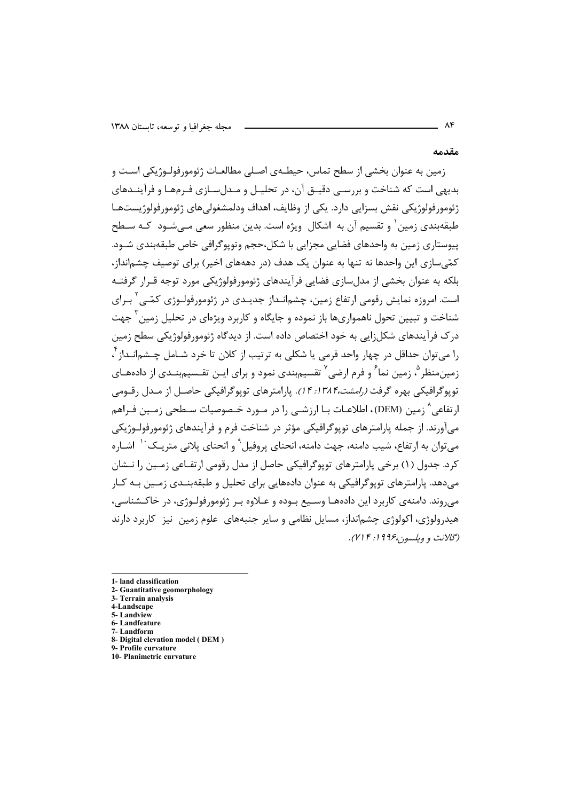مقدمه

 $\Lambda$ ۴

زمین به عنوان بخشی از سطح تماس، حیطــهی اصــلی مطالعــات ژئومورفولــوژیکی اســت و بديهي است كه شناخت و بررسـي دقيـق آن، در تحليـل و مـدلسـازي فـرمهـا و فرآينــدهاي ژئومورفولوژیکی نقش بسزایی دارد. یکی از وظایف، اهداف ودلمشغولی های ژئومورفولوژیستهـا طبقهبندی زمین ٰ و تقسیم آن به اشکال ِ ویژه است. بدین منظور سعی مـے شــود ۖ کــه ســطح پیوستاری زمین به واحدهای فضایی مجزایی با شکل،حجم وتوپوگرافی خاص طبقهبندی شـود. کمّیسازی این واحدها نه تنها به عنوان یک هدف (در دهههای اخیر) برای توصیف چشمانداز، بلکه به عنوان بخشی از مدل سازی فضایی فرآیندهای ژئومورفولوژیکی مورد توجه قـرار گرفتــه است. امروزه نمایش رقومی ارتفاع زمین، چشمانـداز جدیـدی در ژئومورفولـوژی کمّـی ٔ بـرای شناخت و تبیین تحول ناهمواریها باز نموده و جایگاه و کاربرد ویژهای در تحلیل زمین ٔ جهت در ک فرآیندهای شکل;ایی به خود اختصاص داده است. از دیدگاه ژئومورفولوژیکی سطح زمین را ميتوان حداقل در چهار واحد فرمي يا شكلي به ترتيب از كلان تا خرد شـامل چــشمانــداز أ زمین،منظر <sup>۵</sup>، زمین نما <sup>۶</sup> و فرم ارضی<sup>۷</sup> تقسیمبندی نمود و برای ایـن تقـسیمبنـدی از دادههـای توپوگرافیکی بهره گرفت *(رامشت،۱۳۸۴: ۱۴).* پارامترهای توپوگرافیکی حاصل از مـدل رقـومی ارتفاعي^ زمين (DEM)، اطلاعـات بــا ارزشــي را در مــورد خــصوصيات ســطحي زمــين فــراهم ميآورند. از جمله پارامترهاي توپوگرافيکي مؤثر در شناخت فرم و فرآيندهاي ژئومورفولـوژيکي مے توان به ارتفاع، شیب دامنه، جهت دامنه، انحنای پروفیل ْ و انحنای پلانی متریـک `` اشـاره کرد. جدول (۱) برخی پارامترهای توپوگرافیکی حاصل از مدل رقومی ارتفـاعی زمـین را نــشان می،دهد. پارامترهای توپوگرافیکی به عنوان دادههایی برای تحلیل و طبقهبنــدی زمــین بــه کــار می روند. دامنهی کاربرد این دادههـا وسـیع بـوده و عـلاوه بـر ژئومورفولـوژی، در خاکـشناسی، هیدرولوژی، اکولوژی چشمانداز، مسایل نظامی و سایر جنبههای علوم زمین ِ نیز ِ کاربرد دارند (گلانت و ويلسون،۱۹۹۶؛ ۲۱۴).

- 1- land classification
- 2- Guantitative geomorphology 3- Terrain analysis
- 4-Landscape
- 5-Landview
- 6-Landfeature
- 7-Landform
- 8- Digital elevation model (DEM)
- 9- Profile curvature 10- Planimetric curvature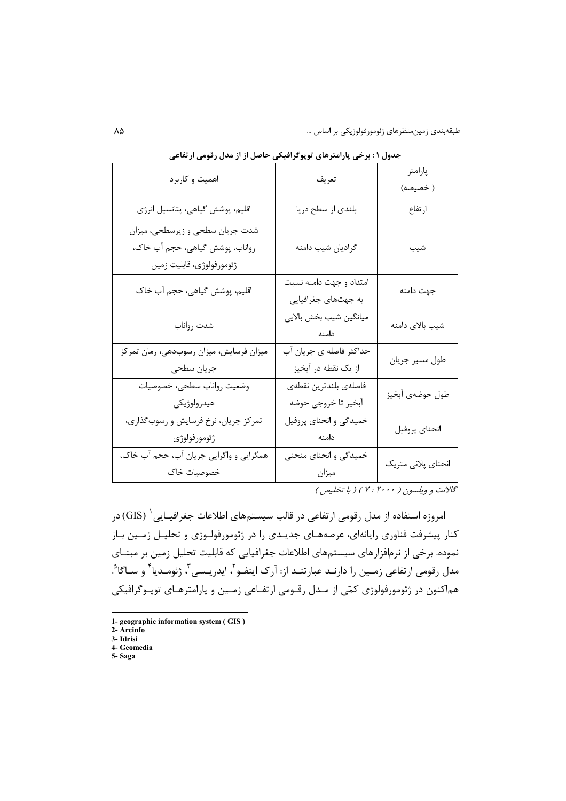| اهمیت و کاربرد                                                                                  | تعريف                                          | پارامتر<br>( خصيصه) |  |
|-------------------------------------------------------------------------------------------------|------------------------------------------------|---------------------|--|
| اقلیم، پوشش گیاهی، پتانسیل انرژی                                                                | بلندي از سطح دريا                              | ارتفاع              |  |
| شدت جریان سطحی و زیرسطحی، میزان<br>رواناب، پوشش گیاهی، حجم آب خاک،<br>ژئومورفولوژى، قابليت زمين | گراديان شيب دامنه                              | شيب                 |  |
| اقلیم، پوشش گیاهی، حجم آب خاک                                                                   | امتداد و جهت دامنه نسبت<br>به جهتهای جغرافیایی | جهت دامنه           |  |
| شدت رواناب                                                                                      | ميانگين شيب بخش بالايي<br>دامنه                | شيب بالاي دامنه     |  |
| میزان فرسایش، میزان رسوبدهی، زمان تمرکز<br>جريان سطحي                                           | حداکثر فاصله ی جریان آب<br>از یک نقطه در آبخیز | طول مسير جريان      |  |
| وضعيت رواناب سطحى، خصوصيات<br>هيدرولوژيكي                                                       | فاصلهى بلندترين نقطهي<br>أبخيز تا خروجي حوضه   | طول حوضهي أبخيز     |  |
| تمرکز جریان، نرخ فرسایش و رسوبگذاری،<br>ژئومورفولوژى                                            | خمیدگی و انحنای پروفیل<br>دامنه                | انحناي پروفيل       |  |
| همگرايي و واگرايي جريان آب، حجم آب خاک،<br>خصوصيات خاک                                          | خمیدگی و انحنای منحنی<br>ميزان                 | انحناي پلاني متريک  |  |

جدول ۱ : برخی پارامترهای توپوگرافیکی حاصل از از مدل رقومی ارتفاعی

گالانت و ویلسون ( ۲۰۰۰ : ۲ ) ( با تخلیص )

امروزه استفاده از مدل رقومی ارتفاعی در قالب سیستمهای اطلاعات جغرافیـایی ( GIS) در کنار پیشرفت فناوری رایانهای، عرصههـای جدیـدی را در ژئومورفولـوژی و تحلیـل زمـین بـاز نموده. برخی از نرمافزارهای سیستمهای اطلاعات جغرافیایی که قابلیت تحلیل زمین بر مبنــای مدل رقومي ارتفاعي زمـين را دارنـد عبارتنـد از: آرک اينفـو `، ايدريـسي `، ژئومـديا ٔ و سـاگا ْ. هماکنون در ژئومورفولوژی کمّی از مـدل رقـومی ارتفـاعی زمـین و پارامترهـای توپـوگرافیکی

- 1- geographic information system (GIS)
- 2- Arcinfo
- 3- Idrisi 4- Geomedia
- 5-Saga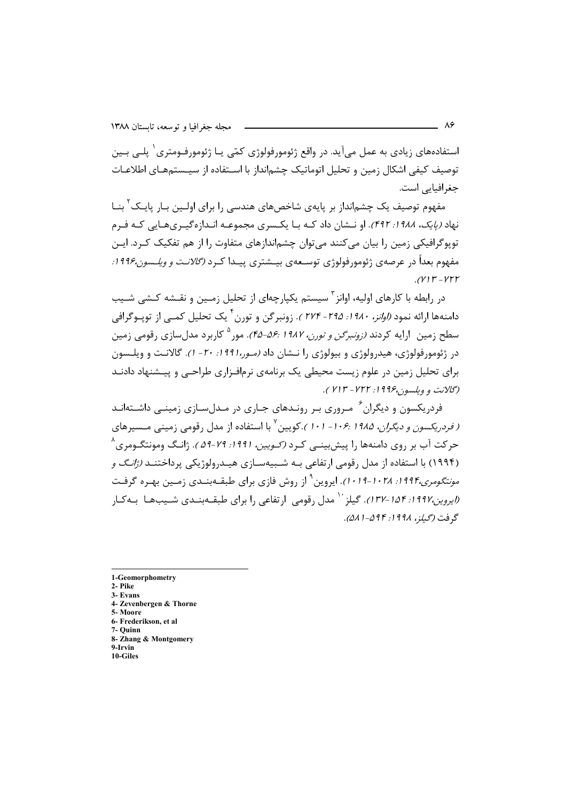استفادههای زیادی به عمل میآید. در واقع ژئومورفولوژی کمّی یـا ژئومورفـومتری<sup>۱</sup> یلــ <sub>،</sub> بــین توصيف كيفي اشكال زمين و تحليل اتوماتيك چشمانداز با اسـتفاده از سيـستمهـاي اطلاعـات جغرافیایی است.

مفهوم توصیف یک چشم|نداز بر پایهی شاخصهای هندسی را برای اولـین بـار پایـک<sup>۲</sup> بنـا نهاد *(پایک، ۱۹۸۸: ۴۹۲)*. او نــشان داد کـه بـا یکـسری مجموعـه انـدازهگیـریهـایی کـه فـرم توپوگرافیکی زمین را بیان میکنند می توان چشماندازهای متفاوت را از هم تفکیک کـرد. ایـن مفهوم بعداً در عرصهی ژئومورفولوژی توسـعهی بیــشتری پیــدا کــرد *(گالانـت و ویلــسون۱۹۹۶:*  $(V11 - V1)$ 

در رابطه با کارهای اولیه، اوانز <sup>۳</sup> سیستم یکبارچهای از تحلیل زمین و نقیشه کیشی شیب دامنهها ارائه نمود *(اوانز، ۱۹۸۰: ۲۷۴* - *۲۷۴)*. زونبرگن و تورن<sup>۴</sup> یک تحلیل کمــی از توپــوگرافی سطح زمین |رایه کردند *(زونبرگن و تورن، ۱۹۸۷ :۵۶-۴۵).* مور<sup>۵</sup> کاربرد مدلسازی رقومی زمین در ژئومورفولوژی، هیدرولوژی و بیولوژی را نــشان داد *(مـور،۱۹۹۱: ۲۰ - ۱).* گالانـت و ویلــسون برای تحلیل زمین در علوم زیست محیطی یک برنامهی نرمافـزاری طراحـی و پیـشنهاد دادنـد (گلانت و ویلسون،۱۹۹۶: ۷۲۲- ۷۱۳).

فردریکسون و دیگران<sup>۶</sup> میروری بیر رونیدهای جباری در میدل سیازی زمینبی داشیتهانید *( فردریکسون و دیگران، ۱۹۸۵ :۱۰۶- ۱۰۱*).کویین<sup>۷</sup> با استفاده از مدل رقومی زمینی مـسیرهای حرکت آب بر روی دامنهها را پیشبینــی کـرد *(کـویین، ۱۹۹۱: ۷۹-۵۹)*. ژانـگ ومونتگـومری<sup>^</sup> (۱۹۹۴) با استفاده از مدل رقومی ارتفاعی بـه شـبیهسـازی هیـدرولوژیکی پرداختنـد *(ژانـگ و مونتگومری۱۹۹۴: ۱۰۲۸–۱۰۱۹).* ایروین<sup>۹</sup> از روش فازی برای طبقـهبنـدی زمـین بهـره گرفـت *(ایروین،۱۹۹۷-۱۳۷).* گیلز <sup>۱٬</sup> مدل رقومی ارتفاعی را برای طبقـهبنـدی شـیبهـا بـهکـار گ فت (*گيلز*، ۱*۹۹۸: ۵۹۴–۵۸۱*).

1-Geomorphometry 2- Pike 3- Evans 4- Zevenbergen & Thorne 5. Moore 6- Frederikson, et al 7- Ouinn 8- Zhang & Montgomery **9.Irvin** 10-Giles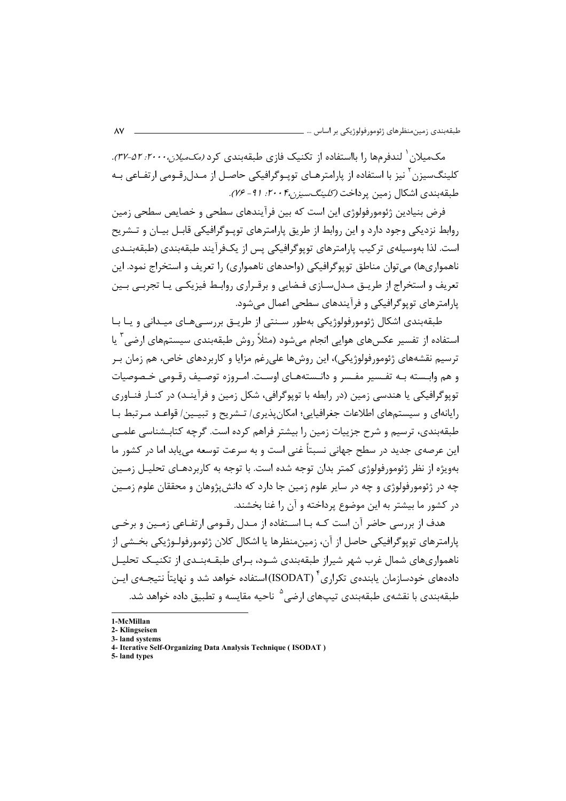مکـمـلان <sup>۱</sup> لندفرمها ۱٫ بااستفاده از تکنیک فازی طبقهبندی کرد *(مکـمیلان۲۰۰۰، ۵۲–۳۲)*. کلینگسیزن<sup>۲</sup> نیز با استفاده از پارامترهـای توپـوگرافیکی حاصـل از مـدلرقـومی ارتفـاعی بـه طبقهبندی اشکال زمین پرداخت *(کلینگسیزن۲۰۰۴، ۲۰۱۱*).

فرض بنيادين ژئومورفولوژي اين است كه بين فرآيندهاي سطحي و خصايص سطحي زمين روابط نزدیکی وجود دارد و این روابط از طریق پارامترهای توپیوگرافیکی قابیل بیـان و تــشریح است. لذا بەوسیلەی ترکیب یارامترهای توپوگرافیکی پس از یک\و آیند طبقەبندی (طبقەبنـدی ناهمواريها) مي توان مناطق توپوڳرافيڪي (واحدهاي ناهمواري) ,ا تعريف و استخراج نمود. اين تعریف و استخراج از طریــق مــدلِســازی فـضایی و برقــراری روابـط فیزیکــی یــا تجربــی بــین یا امترهای توپوگرافیکی و فرآیندهای سطحی اعمال مے شود.

طبقەبندى اشكال ژئومورفولوژيكى بەطور سـنتى از طريــق بررســى،ھـاي ميــدانى و يــا بــا استفاده از تفسیر عکسهای هوایی انجام می شود (مثلاً روش طبقهبندی سیستمهای ارضی<sup>۳</sup> یا ترسیم نقشههای ژئومورفولوژیکی)، این روشها علی رغم مزایا و کاربردهای خاص، هم زمان بـر و هم وابسته بـه تفـسير مفـسر و دانـستههـاي اوسـت. امـروزه توصـيف رقـومي خـصوصيات توپوگرافيكي يا هندسي زمين (در رابطه با توپوگرافي، شكل زمين و فرآينـد) در كنــا, فنــاوري رایانهای و سیستمهای اطلاعات جغرافیایی؛ امکان پذیری/ تـشریح و تبیـین/ قواعـد مـرتبط بـا طبقهبندی، ترسیم و شرح جزییات زمین را بیشتر فراهم کرده است. گرچه کتابـشناسی علمــی این عرصهی جدید در سطح جهانی نسبتاً غنی است و به سرعت توسعه می یابد اما در کشور ما بهویژه از نظر ژئومورفولوژی کمتر بدان توجه شده است. با توجه به کاربردهـای تحلیـل زمـین چه در ژئومورفولوژی و چه در سایر علوم زمین جا دارد که دانش پژوهان و محققان علوم زمـین در کشور ما بیشتر به این موضوع پرداخته و آن را غنا بخشند.

هدف از بررسی حاضر آن است کـه بـا اسـتفاده از مـدل رقـومی ارتفـاعی زمـین و برخـی یا,امترهای توپوگرافیکی حاصل از آن، زمین،منظرها یا اشکال کلان ژئومورفولـوژیکی بخــشی از ناهمواریهای شمال غرب شهر شیراز طبقهبندی شـود، بـرای طبقــهبنــدی از تکنیــک تحلیــل دادههای خودسازمان پابندهی تکراری ٔ (ISODAT) استفاده خواهد شد و نهایتاً نتیجـهی ایـن طبقهبندی با نقشهی طبقهبندی تیپهای ا<sub>ر</sub>ضی<sup>۵</sup> ناحیه مقایسه و تطبیق داده خواهد شد.

<sup>1-</sup>McMillan

<sup>2-</sup> Klingseisen 3- land systems

<sup>4-</sup> Iterative Self-Organizing Data Analysis Technique (ISODAT)

<sup>5-</sup>land types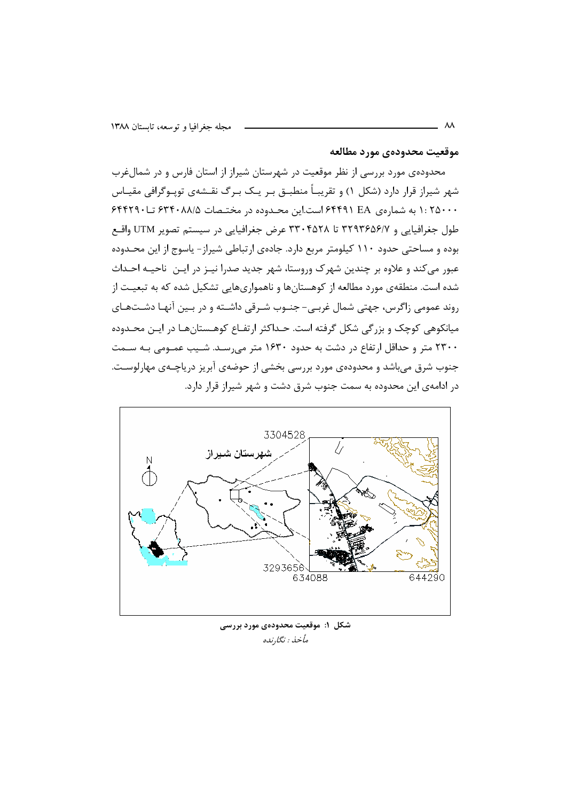#### موقعيت محدودهي مورد مطالعه

محدودهی مورد بررسی از نظر موقعیت در شهرستان شیراز از استان فارس و در شمالء رب شهر شیراز قرار دارد (شکل ۱) و تقریبـاً منطبــق بــر یــک بــرگ نقــشهی تویــوگرافی مقیــاس ۱: ۲۵۰۰۰ به شمارهی ۴۴۹۱ EA است.این محـدوده در مختـصات ۶۳۴۰۸۸/۵ تـا۶۴۴۲۹۰ طول جغرافیایی و ۳۲۹۳۶۵۶/۷ تا ۳۳۰۴۵۲۸ عرض جغرافیایی در سیستم تصویر UTM واقع بوده و مساحتی حدود ۱۱۰ کیلومتر مربع دارد. جادهی ارتباطی شیراز- پاسوج از این محـدوده عبور مي كند و علاوه بر چندين شهرك وروستا، شهر جديد صدرا نيــز در ايــن ناحيــه احــداث شده است. منطقهی مورد مطالعه از کوهستانها و ناهمواریهایی تشکیل شده که به تبعیت از روند عمومی زاگرس، جهتی شمال غربی- جنـوب شـرقی داشـته و در بـین آنهـا دشـتهـای میانکوهی کوچک و بزرگی شکل گرفته است. حـداکثر ارتفـاع کوهـستانهـا در ایـن محـدوده ۲۳۰۰ متر و حداقل ارتفاع در دشت به حدود ۱۶۳۰ متر می رسـد. شـیب عمـومی بـه سـمت جنوب شرق میباشد و محدودهی مورد بررسی بخشی از حوضهی آبریز دریاچـهی مهارلوسـت. در ادامهی این محدوده به سمت جنوب شرق دشت و شهر شیراز قرار دارد.



شکل ۱: موقعیت محدودهی مورد بررسی مأخذ : نگارنده

 $\lambda\lambda$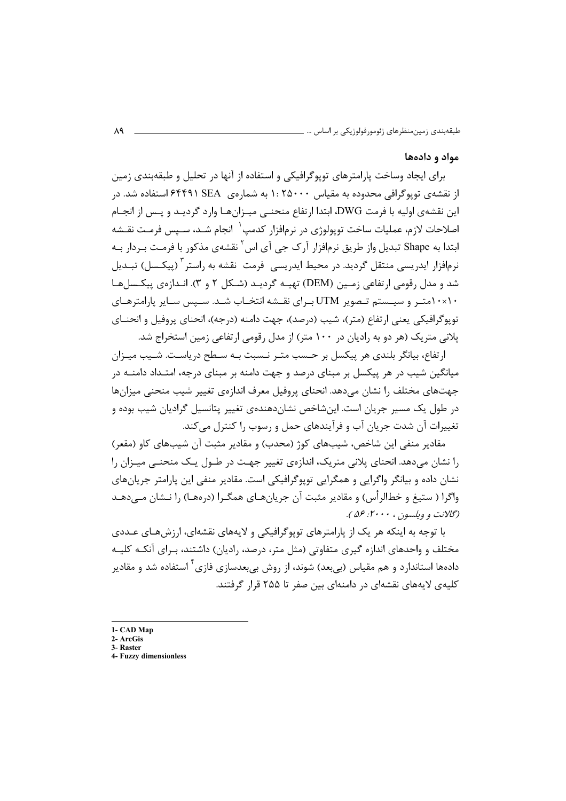#### مواد و دادهها

برای ایجاد وساخت پارامترهای توپوگرافیکی و استفاده از آنها در تحلیل و طبقهبندی زمین از نقشهی توپوگرافی محدوده به مقیاس ۱: ۲۵۰۰۰ به شمارهی S۴۴۹۱ SEA استفاده شد. در این نقشهی اولیه با فرمت DWG، ابتدا ارتفاع منحنبی میـزانهـا وارد گردیـد و پـس از انجـام اصلاحات لازم، عملیات ساخت توپولوژی در نرمافزار کدمپ<sup>۱</sup> انجام شـد، سـپس فرمـت نقـشه ابتدا به Shape تبدیل واز طریق نرمافزار آرک جی آی اس<sup>۲</sup> نقشهی مذکور با فرمت بـردار بـه نرمافزار ایدریسی منتقل گردید. در محیط ایدریسی ِ فرمت ِ نقشه به راستر آ (پیکـسل) تبــدیل شد و مدل رقومی ارتفاعی زمـین (DEM) تهیـه گردیـد (شـکل ۲ و ۳). انـدازەی پیکـسلهـا ۱۰×۱۰متـر و سیـستم تـصویر UTM بـرای نقـشه انتخـاب شـد. سـپس سـایر پارامترهـای توپوگرافيكي يعني ارتفاع (متر)، شيب (درصد)، جهت دامنه (درجه)، انحناي پروفيل و انحنــاي پلانی متریک (هر دو به رادیان در ۱۰۰ متر) از مدل رقومی ارتفاعی زمین استخراج شد.

ارتفاع، بيانگر بلندي هر پيكسل بر حـسب متـر نـسبت بـه سـطح درياسـت. شـيب ميـزان میانگین شیب در هر پیکسل بر مبنای درصد و جهت دامنه بر مبنای درجه، امتـداد دامنــه در جهتهای مختلف را نشان می۵هد. انحنای پروفیل معرف اندازهی تغییر شیب منحنی میزانها در طول یک مسیر جریان است. اینشاخص نشاندهندهی تغییر پتانسیل گرادیان شیب بوده و تغییرات آن شدت جریان آب و فرآیندهای حمل و رسوب را کنترل می کند.

مقادیر منفی این شاخص، شیبهای کوژ (محدب) و مقادیر مثبت آن شیبهای کاو (مقعر) را نشان می،دهد. انحنای پلانی متریک، اندازهی تغییر جهت در طـول یـک منحنـی میـزان را نشان داده و بیانگر واگرایی و همگرایی توپوگرافیکی است. مقادیر منفی این پارامتر جریانهای واڳرا ( ستيغ و خطالرأس) و مقادير مثبت آن جريان هـاي همگـرا (دروهـا) را نــشان مــ دهــد (گلانت و ويلسون ، ۲۰۰۰: ۵۶).

با توجه به اینکه هر یک از پارامترهای توپوگرافیکی و لایههای نقشهای، ارزشهـای عــددی مختلف و واحدهای اندازه گیری متفاوتی (مثل متر، درصد، رادیان) داشتند، بـرای آنکـه کلیـه دادهها استاندارد و هم مقیاس (بی بعد) شوند، از روش بی بعدسازی فازی<sup>۲</sup> استفاده شد و مقادیر کلیهی لایههای نقشهای در دامنهای بین صفر تا ۲۵۵ قرار گرفتند.

<sup>1-</sup> CAD Map

<sup>2-</sup> ArcGis 3. Raster

<sup>4-</sup> Fuzzy dimensionless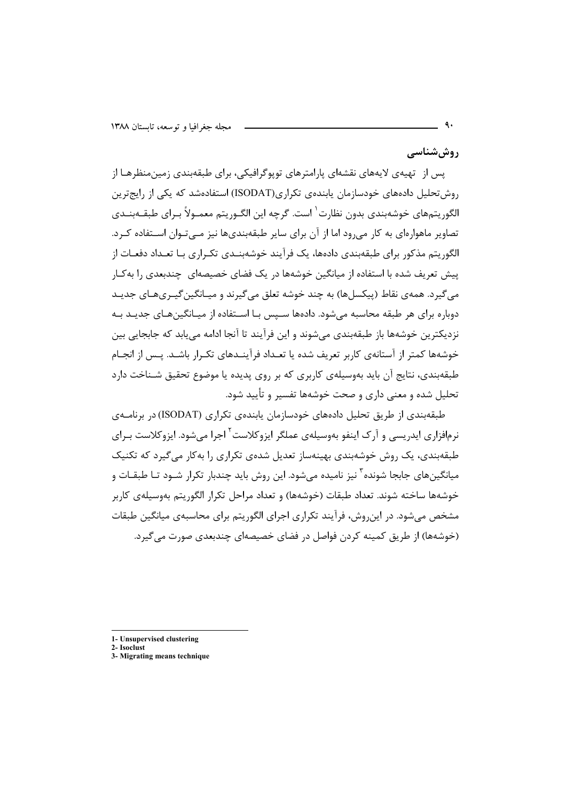روششناسی

یس از تهیهی لایههای نقشهای پارامترهای توپوگرافیکی، برای طبقهبندی زمینمنظرهـا از روش تحلیل دادههای خودسازمان بابندهی تکراری(ISODAT) استفادهشد که یکی از رایج ترین الگوريتمهاي خوشهبندي بدون نظارت ٰ است. گرچه اين الگــوريتم معمــولاً بــراي طبقــهبنــدي تصاویر ماهوارهای به کار می رود اما از آن برای سایر طبقهبندیها نیز مـیتـوان اسـتفاده کـرد. الگوریتم مذکور برای طبقهبندی دادهها، یک فرآیند خوشهبنـدی تکـراری بـا تعـداد دفعـات از پیش تعریف شده با استفاده از میانگین خوشهها در یک فضای خصیصهای چندبعدی را بهکار مي گيرد. همهي نقاط (پيکسلها) به چند خوشه تعلق مي گيرند و ميـانگين گيـريهـاي جديـد دوباره برای هر طبقه محاسبه می شود. دادهها سـیس بـا اسـتفاده از میـانگینهـای جدیـد بـه نزديكترين خوشەها باز طبقەبندى مى شوند و اين فرآيند تا آنجا ادامه مى يابد كه جابجايى بين خوشهها کمتر از آستانهی کاربر تعریف شده یا تعـداد فرآینـدهای تکـرار باشـد. پـس از انجـام طبقهبندی، نتایج آن باید بهوسیلهی کاربری که بر روی پدیده یا موضوع تحقیق شـناخت دارد تحلیل شده و معنی داری و صحت خوشهها تفسیر و تأیید شود.

طبقهبندی از طریق تحلیل دادههای خودسازمان پابندهی تکراری (ISODAT) در برنامــهی نرمافزاری ایدریسی و آرک اینفو بهوسیلهی عملگر ایزوکلاست<sup>۲</sup> اجرا می شود. ایزوکلاست بـرای طبقهبندی، یک روش خوشهبندی بهینهساز تعدیل شدهی تکراری را به کار می گیرد که تکنیک میانگینهای جابجا شونده <sup>۳</sup> نیز نامیده می شود. این روش باید چندبار تکرار شــود تــا طبقــات و خوشهها ساخته شوند. تعداد طبقات (خوشهها) و تعداد مراحل تکرار الگوریتم بهوسیلهی کاربر مشخص می شود. در این روش، فرآیند تکراری اجرای الگوریتم برای محاسبهی میانگین طبقات (خوشهها) از طریق کمینه کردن فواصل در فضای خصیصهای چندبعدی صورت می گیرد.

- 1- Unsupervised clustering
- 2. Isochist
- 3- Migrating means technique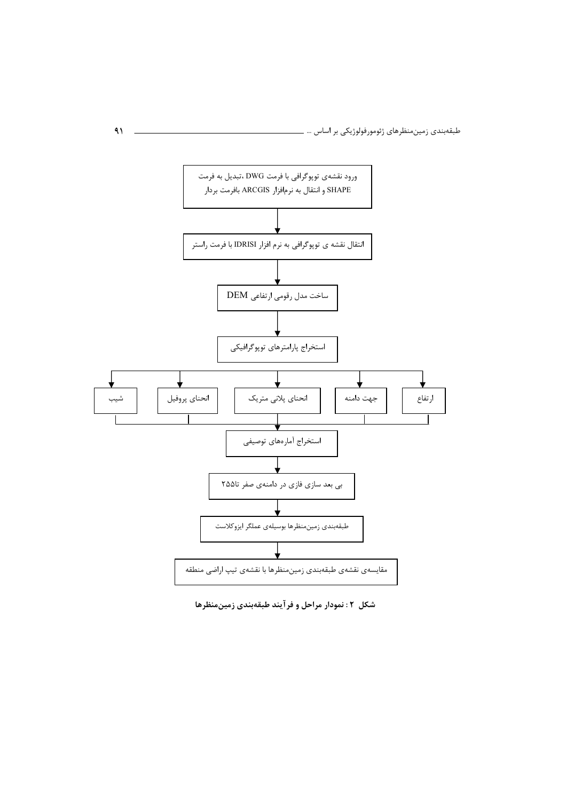

شکل ۲: نمودار مراحل و فرآیند طبقهبندی زمینمنظرها

 $\mathcal{A}$ 

i.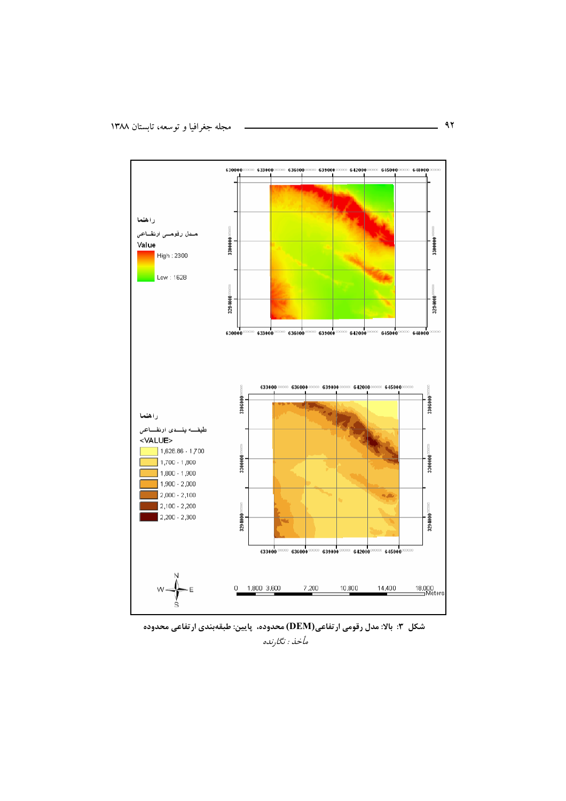

شکل ۳: بالا: مدل رقومی ارتفاعی(DEM) محدوده، پایین: طبقهبندی ارتفاعی محدوده مأخذ : نگارنده

 $\overline{\phantom{0}}$  ar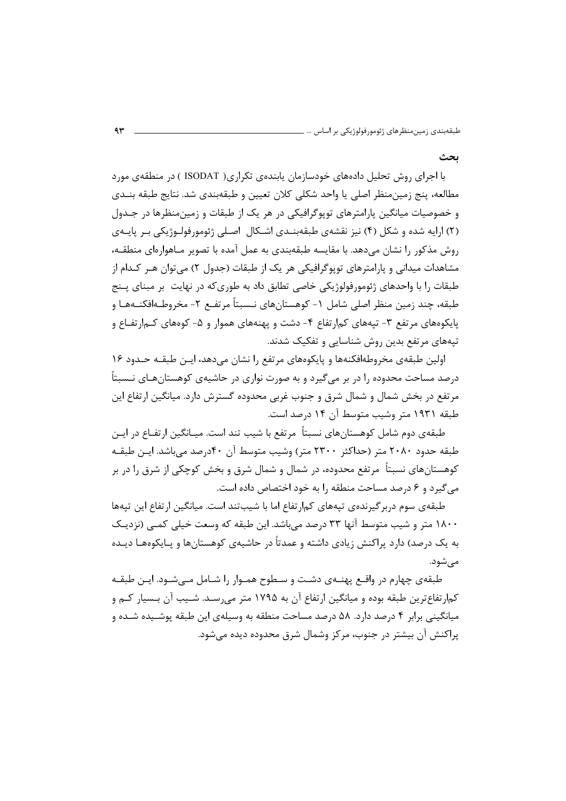ىحث

با اجرای روش تحلیل دادههای خودسازمان پابندهی تکراری( ISODAT ) در منطقهی مورد مطالعه، پنج زمین،منظر اصلی یا واحد شکلی کلان تعیین و طبقهبندی شد. نتایج طبقه بنــدی و خصوصیات میانگین پارامترهای توپوگرافیکی در هر یک از طبقات و زمین منظرها در جـدول (۲) ارایه شده و شکل (۴) نیز نقشهی طبقهبنـدی اشـکال اصـلی ژئومورفولـوژیکی بـر پایـهی روش مذکور را نشان می دهد. با مقایسه طبقهبندی به عمل آمده با تصویر مـاهوارهای منطقــه، مشاهدات میدانی و پارامترهای توپوگرافیکی هر یک از طبقات (جدول ۲) می توان هـر کـدام از طبقات را با واحدهای ژئومورفولوژیکی خاصی تطابق داد به طوری که در نهایت بر مبنای پــنج طبقه، چند زمین منظر اصلی شامل ١- کوهستانهای نـسبتاً مرتفـع ٢- مخروطـهافکنــههـا و یایکومهای مرتفع ۳- تیههای کم۱رتفاع ۴- دشت و پهنههای هموار و ۵- کومهای کـم۱رتفـاع و تپههای مرتفع بدین روش شناسایی و تفکیک شدند.

اولین طبقهی مخروطهافکنهها و پایکوههای مرتفع را نشان میدهد، ایـن طبقـه حـدود ۱۶ درصد مساحت محدوده را در بر میگیرد و به صورت نواری در حاشیهی کوهستانهـای نـسبتاً مرتفع در بخش شمال و شمال شرق و جنوب غربی محدوده گسترش دارد. میانگین ارتفاع این طبقه ۱۹۳۱ متر وشیب متوسط آن ۱۴ درصد است.

طبقهی دوم شامل کوهستانهای نسبتاً مرتفع با شیب تند است. میـانگین ارتفـاع در ایـن طبقه حدود ۲۰۸۰ متر (حداکثر ۲۳۰۰ متر) وشیب متوسط آن ۴۰درصد میباشد. ایـن طبقـه کوهستانهای نسبتاً ً مرتفع محدوده، در شمال و شمال شرق و بخش کوچکی از شرق را در بر می گیرد و ۶ درصد مساحت منطقه ۱٫ به خود اختصاص داده است.

طبقهی سوم دربر گیرندهی تیههای کمارتفاع اما با شیبتند است. میانگین ارتفاع این تیهها ۱۸۰۰ متر و شیب متوسط آنها ۳۳ درصد می باشد. این طبقه که وسعت خیلی کمــی (نزدیــک به یک درصد) دارد پراکنش زیادی داشته و عمدتاً در حاشیهی کوهستانها و پـایکوههـا دیـده مے شود.

طبقهی چهارم در واقـع پهنــهی دشــت و ســطوح همــوار را شــامل مــیشــود. ایــن طبقــه کمارتفاع ترین طبقه بوده و میانگین ارتفاع آن به ۱۷۹۵ متر می رسـد. شـیب آن بـسیار کــم و میانگینی برابر ۴ درصد دارد. ۵۸ درصد مساحت منطقه به وسیلهی این طبقه پوشـیده شـده و پراکنش آن بیشتر در جنوب، مرکز وشمال شرق محدوده دیده می شود.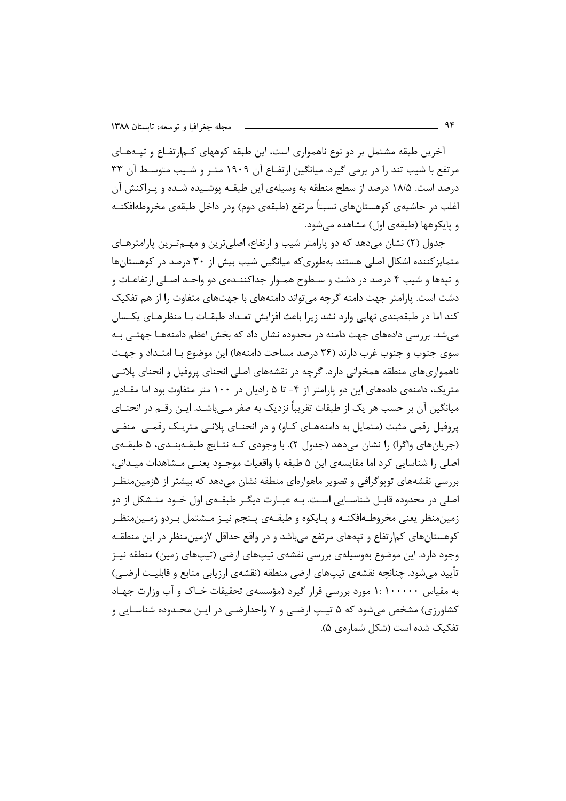آخرین طبقه مشتمل بر دو نوع ناهمواری است، این طبقه کوههای کـمارتفـاع و تیـههـای مرتفع با شیب تند را در برمی گیرد. میانگین ارتفـاع آن ۱۹۰۹ متـر و شــیب متوسـط آن ۳۳ درصد است. ۱۸/۵ درصد از سطح منطقه به وسیلهی این طبقــه پوشــیده شــده و پــراکنش آن اغلب در حاشیهی کوهستانهای نسبتاً مرتفع (طبقهی دوم) ودر داخل طبقهی مخروطهافکنــه و پایکوهها (طبقهی اول) مشاهده می شود.

جدول (٢) نشان میدهد که دو پارامتر شیب و ارتفاع، اصلیترین و مهمترین پارامترهای متمایز کننده اشکال اصلی هستند بهطوری که میانگین شیب بیش از ۳۰ درصد در کوهستانها و تیهها و شیب ۴ درصد در دشت و سـطوح همـوار جداکننـدهی دو واحـد اصـلی ارتفاعـات و دشت است. پارامتر جهت دامنه گرچه می تواند دامنههای با جهتهای متفاوت را از هم تفکیک کند اما در طبقهبندی نهایی وارد نشد زیرا باعث افزایش تعـداد طبقـات بـا منظرهـای یکـسان میشد. بررسی دادههای جهت دامنه در محدوده نشان داد که بخش اعظم دامنههـا جهتـی بـه سوی جنوب و جنوب غرب دارند (۳۶ درصد مساحت دامنهها) این موضوع بـا امتـداد و جهـت ناهمواریهای منطقه همخوانی دارد. گرچه در نقشههای اصلی انحنای پروفیل و انحنای پلانـی متریک، دامنهی دادههای این دو یارامتر از ۴- تا ۵ رادیان در ۱۰۰ متر متفاوت بود اما مقـادیر میانگین آن بر حسب هر یک از طبقات تقریباً نزدیک به صفر مـیباشـد. ایـن رقــم در انحنــای پروفیل رقمی مثبت (متمایل به دامنههـای کـاو) و در انحنـای پلانـی متریـک رقمـی منفـی (جریانهای واگرا) را نشان می۵هد (جدول ۲). با وجودی کـه نتـایج طبقـهبنـدی، ۵ طبقـهی اصلی را شناسایی کرد اما مقایسهی این ۵ طبقه با واقعیات موجـود یعنـی مـشاهدات میـدانی، بررسی نقشههای توپوگرافی و تصویر ماهوارهای منطقه نشان میدهد که بیشتر از ۵زمینمنظـر اصلی در محدوده قابـل شناسـایی اسـت. بـه عبـارت دیگـر طبقـهی اول خـود متـشكل از دو زمینمنظر یعنی مخروطـهافکنــه و پـایکوه و طبقــهی پــنجم نیــز مــشتمل بــردو زمــینمنظــر کوهستانهای کمارتفاع و تپههای مرتفع می باشد و در واقع حداقل ۷زمین منظر در این منطقـه وجود دارد. این موضوع بهوسیلهی بررسی نقشهی تیپهای ارضی (تیپهای زمین) منطقه نیـز تأييد مي شود. چنانچه نقشهى تيپهاى ارضى منطقه (نقشهى ارزيابى منابع و قابليت ارضـى) به مقیاس ۱۰۰۰۰۰ :۱ مورد بررسی قرار گیرد (مؤسسهی تحقیقات خـاک و آب وزارت جهـاد کشاورزی) مشخص می شود که ۵ تیـپ ارضـی و ۷ واحدارضـی در ایـن محـدوده شناسـایی و تفکیک شده است (شکل شمارهی ۵).

 $95$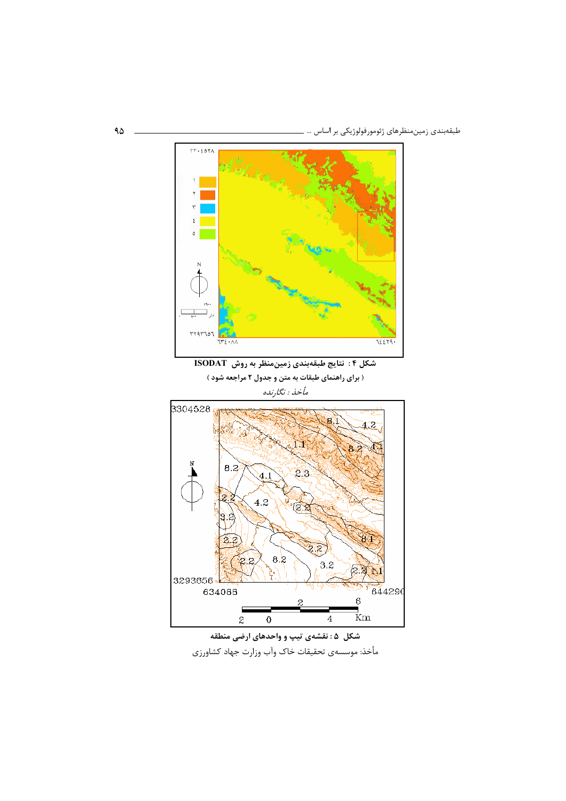

شکل ۵ : نقشهی تیپ و واحدهای ارضی منطقه مأخذ: موسسهى تحقيقات خاك وآب وزارت جهاد كشاورزي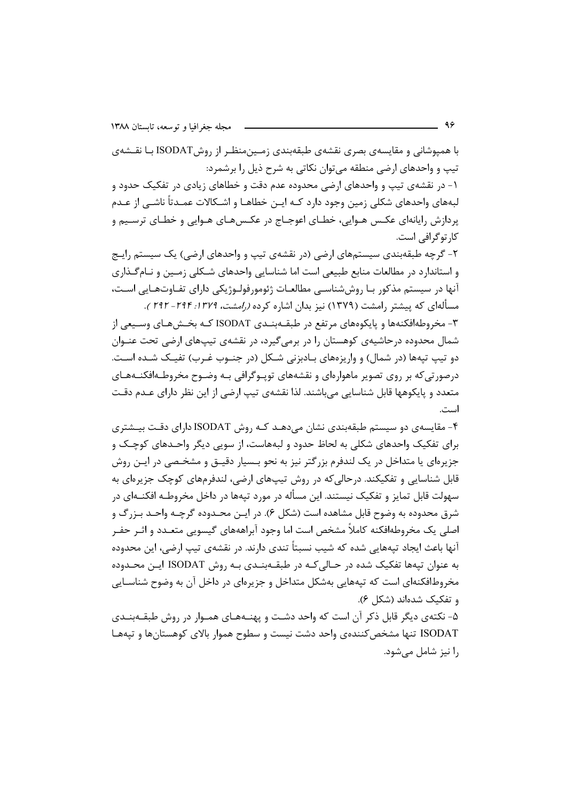با همپوشانی و مقایسهی بصری نقشهی طبقهبندی زمـینمنظـر از روشISODAT بـا نقـشهی تیپ و واحدهای ارضی منطقه میتوان نکاتی به شرح ذیل را برشمرد: ۱- در نقشهی تیپ و واحدهای ارضی محدوده عدم دقت و خطاهای زیادی در تفکیک حدود و لبههای واحدهای شکلی زمین وجود دارد کـه ایـن خطاهـا و اشـکالات عمـدتاً ناشـی از عـدم پردازش رایانهای عکـس هـوایی، خطـای اعوجـاج در عکـس۵عـای هـوایی و خطـای ترسـیم و کا, توگرافی است.

۲- گرچه طبقهبندی سیستمهای ارضی (در نقشهی تیپ و واحدهای ارضی) یک سیستم رایـج و استاندارد در مطالعات منابع طبیعی است اما شناسایی واحدهای شـکلی زمـین و نـام گـذاری آنها در سیستم مذکور بـا روش شناسـی مطالعـات ژئومورفولـوژیکی دارای تفـاوتهـایی اسـت، مسألهای که پیشتر رامشت (۱۳۷۹) نیز بدان اشاره کرده *(رامشت، ۱۳۷۹: ۲۹۴–۲۹۲*).

۳- مخروطهافکنهها و پایکوههای مرتفع در طبقــهبنــدی ISODAT کــه بخــشهــای وســیعی از شمال محدوده درحاشیهی کوهستان را در برمی گیرد، در نقشهی تیپهای ارضی تحت عنـوان دو تیپ تپهها (در شمال) و واریزههای بـادبزنی شـكل (در جنـوب غـرب) تفیـك شـده اسـت. درصورتیکه بر روی تصویر ماهوارهای و نقشههای توپـوگرافی بـه وضـوح مخروطـهافکنـههـای متعدد و پایکوهها قابل شناسایی می باشند. لذا نقشهی تیپ ارضی از این نظر دارای عـدم دقـت است.

۴- مقایسهی دو سیستم طبقهبندی نشان می دهـد کـه روش ISODAT دارای دقـت بیـشتری برای تفکیک واحدهای شکلی به لحاظ حدود و لبههاست، از سویی دیگر واحـدهای کوچـک و جزیرهای یا متداخل در یک لندفرم بزرگتر نیز به نحو بـسیار دقیــق و مشخـصی در ایــن روش قابل شناسایی و تفکیکند. درحالی که در روش تیپهای ارضی، لندفرمهای کوچک جزیرهای به سهولت قابل تمایز و تفکیک نیستند. این مسأله در مورد تیهها در داخل مخروطـه افکنــهای در شرق محدوده به وضوح قابل مشاهده است (شکل ۶). در ایــن محــدوده گرچــه واحــد بــزرگ و اصلی یک مخروطهافکنه کاملاً مشخص است اما وجود آبراهههای گیسویی متعـدد و اثـر حفـر آنها باعث ایجاد تیههایی شده که شیب نسبتاً تندی دارند. در نقشهی تیپ ارضی، این محدوده به عنوان تيهها تفكيک شده در حـالي کـه در طبقــهبنــدي بــه روش ISODAT ايـن محــدوده مخروطافکنهای است که تیههایی بهشکل متداخل و جزیرهای در داخل آن به وضوح شناسـایی و تفكيك شدهاند (شكل ۶).

۵- نکتهی دیگر قابل ذکر آن است که واحد دشـت و پهنـههـای همـوار در روش طبقــهبنــدی ISODAT تنها مشخص كنندهى واحد دشت نيست و سطوح هموار بالاي كوهستانها و تيههـا را نیز شامل مے شود.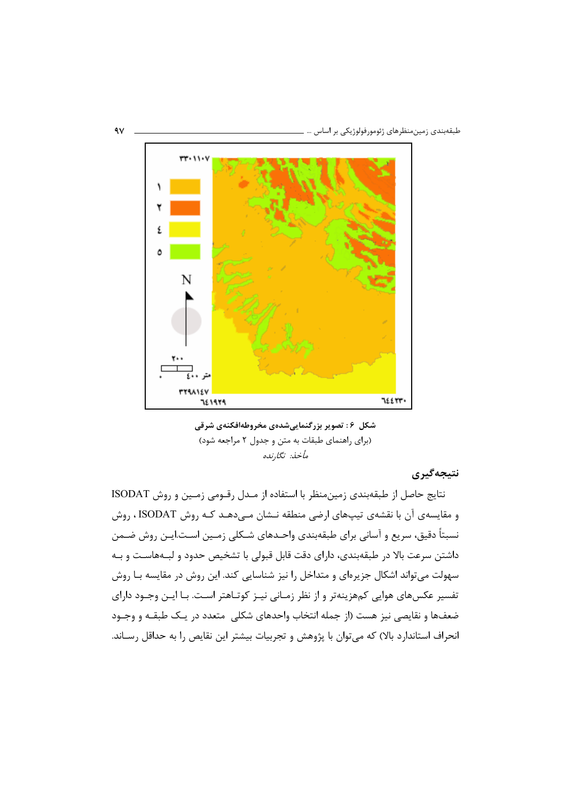

شکل ۶: تصویر بزرگنماییشدهی مخروطهافکنهی شرقی (برای راهنمای طبقات به متن و جدول ۲ مراجعه شود) مأخذ: نگارنده

### نتيجەگىرى

نتايج حاصل از طبقهبندي زمين منظر با استفاده از مـدل رقـومي زمـين و روش ISODAT و مقایسهی آن با نقشهی تیپهای ارضی منطقه نـشان مـیدهـد کـه روش ISODAT ، روش نسبتاً دقیق، سریع و آسانی برای طبقهبندی واحـدهای شـکلی زمـین اسـت.ایــن روش ضـمن داشتن سرعت بالا در طبقهبندی، دارای دقت قابل قبولی با تشخیص حدود و لبـههاسـت و بـه سهولت میتواند اشکال جزیرهای و متداخل را نیز شناسایی کند. این روش در مقایسه بـا روش تفسیر عکسهای هوایی کمهزینهتر و از نظر زمـانی نیـز کوتـاهتر اسـت. بـا ایـن وجـود دارای ضعف&ا و نقايصي نيز هست (از جمله انتخاب واحدهاي شكلي ٍ متعدد در يـك طبقــه و وجــود انحراف استاندارد بالا) که می توان با پژوهش و تجربیات بیشتر این نقایص را به حداقل رسـاند.

 $\gamma$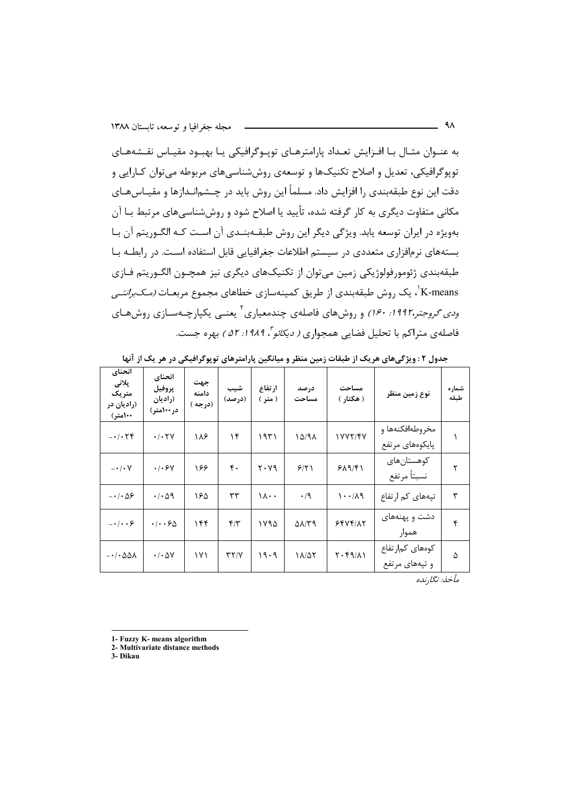به عنـوان مثـال بـا افـزايش تعـداد يارامترهـاي تويـوگرافيكي يـا بهبـود مقيـاس نقـشههـاي توپوگرافیکی، تعدیل و اصلاح تکنیکها و توسعهی روش شناسی های مربوطه می توان کـارایی و دقت این نوع طبقهبندی ,ا افزایش داد. مسلماً این روش باید در چـشمانـدازها و مقیـاس۱هـای مکانی متفاوت دیگری به کار گرفته شده، تأیید یا اصلاح شود و روششناسی های مرتبط بـا آن بهویژه در ایران توسعه یابد. ویژگی دیگر این روش طبقـهبنـدی آن اسـت کـه الگـوریتم آن بـا بستههای نرمافزاری متعددی در سیستم اطلاعات جغرافیایی قابل استفاده است. در رابطـه بـا طبقهبندی ژئومورفولوژیکی زمین میتوان از تکنیکهای دیگری نیز همچــون الگــوریتم فــازی K-means'، یک روش طبقهبندی از طریق کمینهسازی خطاهای مجموع مربعـات *(مـکبرانتـی ودی گروجتر،۱۹۹۲: ۱۶۰)* و روشهای فاصلهی چندمعیاری<sup>۲</sup> یعنـی یکپارچـهسـازی روشهـای فاصلهی متراکم با تحلیل فضایی همجواری *( دیکائو "، ۱۹۸۹: ۵۲ )* بهره جست.

| انحناي<br>پلانی<br>متریک<br>(راديان در<br>۱۰۰(متر) | انحناي<br>پروفيل<br>(راديان<br>در ۱۰۰متر) | جهت<br>دامنه<br>(درجه ) | شيب<br>(درصد)     | ارتفاع<br>( متر ) | در صد<br>مساحت             | مساحت<br>( هکتار )                | نوع زمين منظر                      | شماره<br>طبقه |
|----------------------------------------------------|-------------------------------------------|-------------------------|-------------------|-------------------|----------------------------|-----------------------------------|------------------------------------|---------------|
| $-1.5$                                             | $\cdot$ / $\cdot$ $\uparrow$ $\vee$       | ۱۸۶                     | ۱۴                | ۱۹۳۱              | 10/91                      | 1777/47                           | مخروطهافكنهها و<br>پایکوههای مرتفع |               |
| $-\cdot/\cdot V$                                   | .4.54                                     | ۱۶۶                     | $\mathfrak{r}$ .  | ۲۰۷۹              | 9/51                       | 919/51                            | كوهستان هاى<br>نسبتأ مرتفع         | ۲             |
| $-\cdot/\cdot\Delta$ ۶                             | $\cdot$ / $\cdot$ $\land$ 9               | ۱۶۵                     | ٣٣                | ۱۸۰۰              | $\cdot/9$                  | $\lambda \cdot \cdot / \lambda$ ۹ | تپههای کم ارتفاع                   | ٣             |
| $-1$                                               | $\cdot/\cdot\cdot$ ۶۵                     | ۱۴۴                     | $f/\tau$          | ۱۷۹۵              | $\Delta\lambda/\Upsilon$ 9 | 5597/17                           | دشت و پهنههای<br>هموار             | ۴             |
| $-1.001$                                           | $\cdot$ / $\cdot$ $\Delta V$              | ۱۷۱                     | $\tau\tau/\gamma$ | ۱۹۰۹              | ۱۸/۵۲                      | $Y \cdot Y \cdot (A)$             | كومهاى كمارتفاع<br>و تپههای مرتفع  | ۵             |

جدول ۲ : ویژگیهای هریک از طبقات زمین منظر و میانگین پارامترهای توپوگرافیکی در هر یک از آنها

مأخذ: نگا,نده

- 1- Fuzzy K- means algorithm
- 2- Multivariate distance methods
- 3- Dikau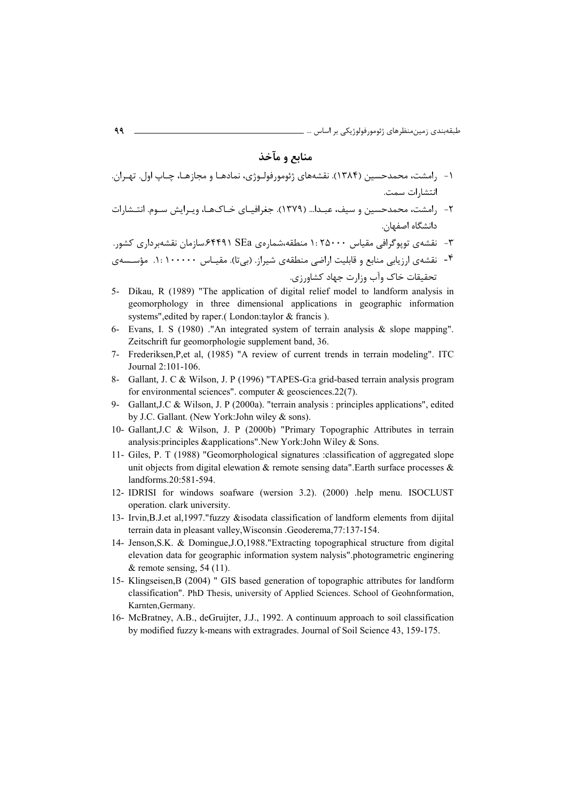# منابع و مآخذ

- ۱- ۱٫مشت، محمدحسین (۱۳۸۴). نقشههای ژئومورفولـوژی، نمادهـا و مجازهـا، چـاپ اول. تهـران. انتشارات سمت.
- ۲- رامشت، محمدحسین و سیف، عبـدا... (۱۳۷۹). جغرافیـای خـاکـهـا، ویـرایش سـوم. انتـشارات دانشگاه اصفهان.
- ۳- نقشهی توپوگرافی مقیاس ۱: ۲۵۰۰۰ منطقه،شمارهی SEa (۶۴۴۹۰سازمان نقشهبرداری کشور.
- ۴- نقشهی ارزیابی منابع و قابلیت اراضی منطقهی شیراز. (بی تا). مقیـاس ۱۰۰۰۰۰ : ۱. مؤسـسهی

## تحقیقات خاک وآب وزارت جهاد کشاورزی.

- 5- Dikau, R (1989) "The application of digital relief model to landform analysis in geomorphology in three dimensional applications in geographic information systems", edited by raper.(London:taylor & francis).
- 6- Evans, I. S (1980) ."An integrated system of terrain analysis  $\&$  slope mapping". Zeitschrift fur geomorphologie supplement band, 36.
- 7- Frederiksen, P, et al. (1985) "A review of current trends in terrain modeling". ITC Journal 2:101-106.
- 8- Gallant, J. C & Wilson, J. P (1996) "TAPES-G:a grid-based terrain analysis program for environmental sciences", computer  $\&$  geosciences.22(7).
- 9- Gallant, J.C & Wilson, J. P (2000a). "terrain analysis : principles applications", edited by J.C. Gallant. (New York: John wiley & sons).
- 10- Gallant, J.C & Wilson, J. P (2000b) "Primary Topographic Attributes in terrain analysis: principles & applications". New York: John Wiley & Sons.
- 11- Giles, P. T (1988) "Geomorphological signatures : classification of aggregated slope unit objects from digital elewation  $\&$  remote sensing data". Earth surface processes  $\&$ landforms.20:581-594.
- 12- IDRISI for windows soafware (wersion 3.2). (2000) help menu. ISOCLUST operation. clark university.
- 13- Irvin, B.J.et al. 1997. "fuzzy &isodata classification of landform elements from dijital terrain data in pleasant valley, Wisconsin . Geoderema, 77:137-154.
- 14- Jenson, S.K. & Domingue, J.O., 1988. "Extracting topographical structure from digital elevation data for geographic information system nalysis" photogrametric enginering & remote sensing,  $54(11)$ .
- 15- Klingseisen, B (2004) " GIS based generation of topographic attributes for landform classification". PhD Thesis, university of Applied Sciences. School of Geohnformation, Karnten, Germany.
- 16- McBratney, A.B., deGruijter, J.J., 1992. A continuum approach to soil classification by modified fuzzy k-means with extragrades. Journal of Soil Science 43, 159-175.